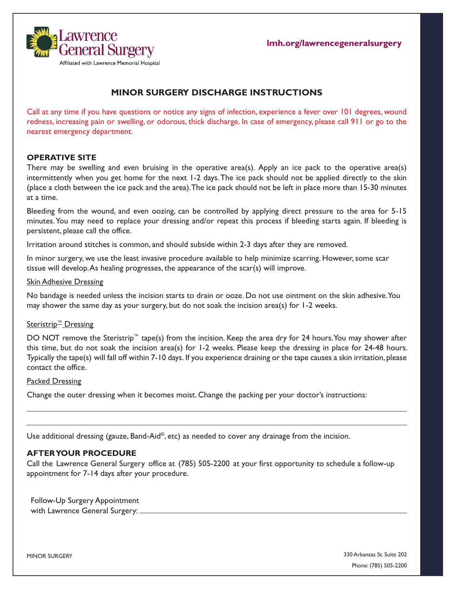

# **MINOR SURGERY DISCHARGE INSTRUCTIONS**

Call at any time if you have questions or notice any signs of infection, experience a fever over 101 degrees, wound redness, increasing pain or swelling, or odorous, thick discharge. In case of emergency, please call 911 or go to the nearest emergency department.

# **OPERATIVE SITE**

There may be swelling and even bruising in the operative area(s). Apply an ice pack to the operative area(s) intermittently when you get home for the next 1-2 days. The ice pack should not be applied directly to the skin (place a cloth between the ice pack and the area). The ice pack should not be left in place more than 15-30 minutes at a time.

Bleeding from the wound, and even oozing, can be controlled by applying direct pressure to the area for 5-15 minutes. You may need to replace your dressing and/or repeat this process if bleeding starts again. If bleeding is persistent, please call the office.

Irritation around stitches is common, and should subside within 2-3 days after they are removed.

In minor surgery, we use the least invasive procedure available to help minimize scarring. However, some scar tissue will develop. As healing progresses, the appearance of the scar(s) will improve.

#### Skin Adhesive Dressing

No bandage is needed unless the incision starts to drain or ooze. Do not use ointment on the skin adhesive. You may shower the same day as your surgery, but do not soak the incision area(s) for 1-2 weeks.

# Steristrip<sup>™</sup> Dressing

DO NOT remove the Steristrip™ tape(s) from the incision. Keep the area dry for 24 hours. You may shower after this time, but do not soak the incision area(s) for 1-2 weeks. Please keep the dressing in place for 24-48 hours. Typically the tape(s) will fall off within 7-10 days. If you experience draining or the tape causes a skin irritation, please contact the office.

#### Packed Dressing

Change the outer dressing when it becomes moist. Change the packing per your doctor's instructions:

Use additional dressing (gauze, Band-Aid®, etc) as needed to cover any drainage from the incision.

# **AFTER YOUR PROCEDURE**

Call the Lawrence General Surgery office at (785) 505-2200 at your first opportunity to schedule a follow-up appointment for 7-14 days after your procedure.

Follow-Up Surgery Appointment with Lawrence General Surgery:

MINOR SURGERY

330 Arkansas St. Suite 202 Phone: (785) 505-2200